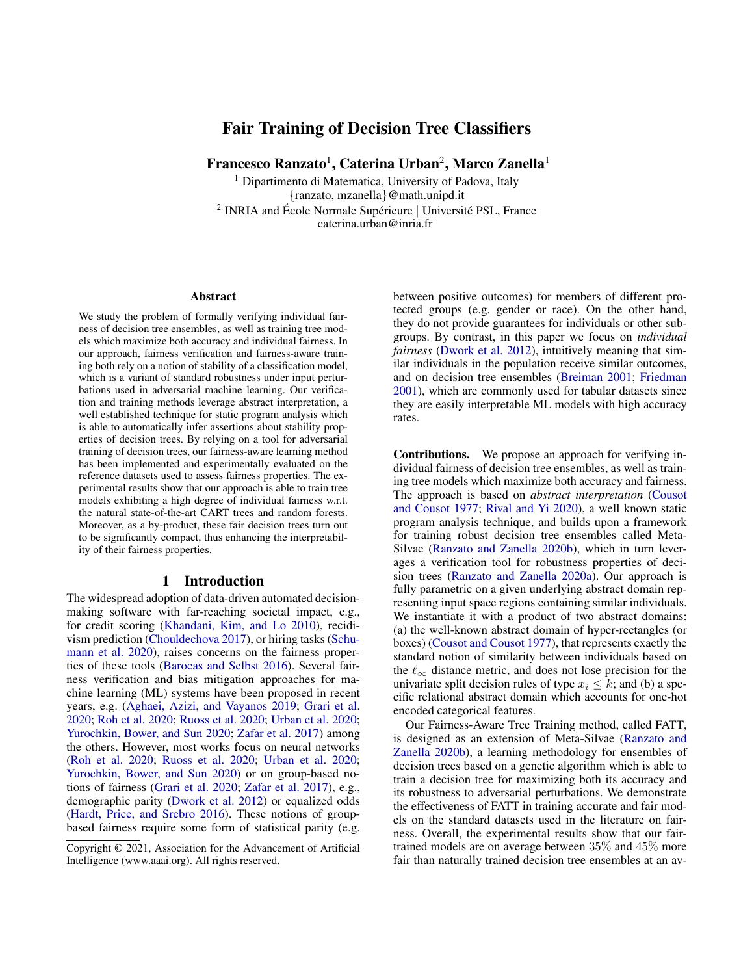# Fair Training of Decision Tree Classifiers

Francesco Ranzato<sup>1</sup>, Caterina Urban<sup>2</sup>, Marco Zanella<sup>1</sup>

<sup>1</sup> Dipartimento di Matematica, University of Padova, Italy {ranzato, mzanella}@math.unipd.it  $2$  INRIA and École Normale Supérieure | Université PSL, France caterina.urban@inria.fr

#### **Abstract**

We study the problem of formally verifying individual fairness of decision tree ensembles, as well as training tree models which maximize both accuracy and individual fairness. In our approach, fairness verification and fairness-aware training both rely on a notion of stability of a classification model, which is a variant of standard robustness under input perturbations used in adversarial machine learning. Our verification and training methods leverage abstract interpretation, a well established technique for static program analysis which is able to automatically infer assertions about stability properties of decision trees. By relying on a tool for adversarial training of decision trees, our fairness-aware learning method has been implemented and experimentally evaluated on the reference datasets used to assess fairness properties. The experimental results show that our approach is able to train tree models exhibiting a high degree of individual fairness w.r.t. the natural state-of-the-art CART trees and random forests. Moreover, as a by-product, these fair decision trees turn out to be significantly compact, thus enhancing the interpretability of their fairness properties.

#### 1 Introduction

The widespread adoption of data-driven automated decisionmaking software with far-reaching societal impact, e.g., for credit scoring [\(Khandani, Kim, and Lo](#page-7-0) [2010\)](#page-7-0), recidivism prediction [\(Chouldechova](#page-6-0) [2017\)](#page-6-0), or hiring tasks [\(Schu](#page-7-1)[mann et al.](#page-7-1) [2020\)](#page-7-1), raises concerns on the fairness properties of these tools [\(Barocas and Selbst](#page-6-1) [2016\)](#page-6-1). Several fairness verification and bias mitigation approaches for machine learning (ML) systems have been proposed in recent years, e.g. [\(Aghaei, Azizi, and Vayanos](#page-6-2) [2019;](#page-6-2) [Grari et al.](#page-7-2) [2020;](#page-7-2) [Roh et al.](#page-7-3) [2020;](#page-7-3) [Ruoss et al.](#page-7-4) [2020;](#page-7-4) [Urban et al.](#page-7-5) [2020;](#page-7-5) [Yurochkin, Bower, and Sun](#page-7-6) [2020;](#page-7-6) [Zafar et al.](#page-7-7) [2017\)](#page-7-7) among the others. However, most works focus on neural networks [\(Roh et al.](#page-7-3) [2020;](#page-7-3) [Ruoss et al.](#page-7-4) [2020;](#page-7-4) [Urban et al.](#page-7-5) [2020;](#page-7-5) [Yurochkin, Bower, and Sun](#page-7-6) [2020\)](#page-7-6) or on group-based notions of fairness [\(Grari et al.](#page-7-2) [2020;](#page-7-2) [Zafar et al.](#page-7-7) [2017\)](#page-7-7), e.g., demographic parity [\(Dwork et al.](#page-7-8) [2012\)](#page-7-8) or equalized odds [\(Hardt, Price, and Srebro](#page-7-9) [2016\)](#page-7-9). These notions of groupbased fairness require some form of statistical parity (e.g.

between positive outcomes) for members of different protected groups (e.g. gender or race). On the other hand, they do not provide guarantees for individuals or other subgroups. By contrast, in this paper we focus on *individual fairness* [\(Dwork et al.](#page-7-8) [2012\)](#page-7-8), intuitively meaning that similar individuals in the population receive similar outcomes, and on decision tree ensembles [\(Breiman](#page-6-3) [2001;](#page-6-3) [Friedman](#page-7-10) [2001\)](#page-7-10), which are commonly used for tabular datasets since they are easily interpretable ML models with high accuracy rates.

Contributions. We propose an approach for verifying individual fairness of decision tree ensembles, as well as training tree models which maximize both accuracy and fairness. The approach is based on *abstract interpretation* [\(Cousot](#page-7-11) [and Cousot](#page-7-11) [1977;](#page-7-11) [Rival and Yi](#page-7-12) [2020\)](#page-7-12), a well known static program analysis technique, and builds upon a framework for training robust decision tree ensembles called Meta-Silvae [\(Ranzato and Zanella](#page-7-13) [2020b\)](#page-7-13), which in turn leverages a verification tool for robustness properties of decision trees [\(Ranzato and Zanella](#page-7-14) [2020a\)](#page-7-14). Our approach is fully parametric on a given underlying abstract domain representing input space regions containing similar individuals. We instantiate it with a product of two abstract domains: (a) the well-known abstract domain of hyper-rectangles (or boxes) [\(Cousot and Cousot](#page-7-11) [1977\)](#page-7-11), that represents exactly the standard notion of similarity between individuals based on the  $\ell_{\infty}$  distance metric, and does not lose precision for the univariate split decision rules of type  $x_i \leq k$ ; and (b) a specific relational abstract domain which accounts for one-hot encoded categorical features.

Our Fairness-Aware Tree Training method, called FATT, is designed as an extension of Meta-Silvae [\(Ranzato and](#page-7-13) [Zanella](#page-7-13) [2020b\)](#page-7-13), a learning methodology for ensembles of decision trees based on a genetic algorithm which is able to train a decision tree for maximizing both its accuracy and its robustness to adversarial perturbations. We demonstrate the effectiveness of FATT in training accurate and fair models on the standard datasets used in the literature on fairness. Overall, the experimental results show that our fairtrained models are on average between 35% and 45% more fair than naturally trained decision tree ensembles at an av-

Copyright © 2021, Association for the Advancement of Artificial Intelligence (www.aaai.org). All rights reserved.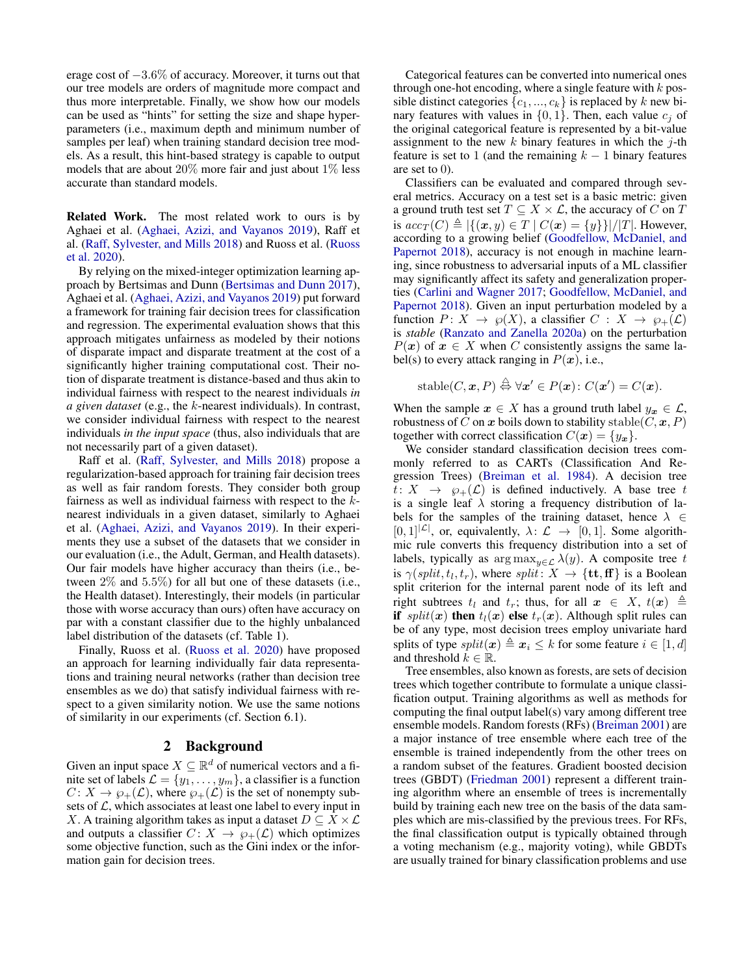erage cost of −3.6% of accuracy. Moreover, it turns out that our tree models are orders of magnitude more compact and thus more interpretable. Finally, we show how our models can be used as "hints" for setting the size and shape hyperparameters (i.e., maximum depth and minimum number of samples per leaf) when training standard decision tree models. As a result, this hint-based strategy is capable to output models that are about  $20\%$  more fair and just about  $1\%$  less accurate than standard models.

Related Work. The most related work to ours is by Aghaei et al. [\(Aghaei, Azizi, and Vayanos](#page-6-2) [2019\)](#page-6-2), Raff et al. [\(Raff, Sylvester, and Mills](#page-7-15) [2018\)](#page-7-15) and Ruoss et al. [\(Ruoss](#page-7-4) [et al.](#page-7-4) [2020\)](#page-7-4).

By relying on the mixed-integer optimization learning approach by Bertsimas and Dunn [\(Bertsimas and Dunn](#page-6-4) [2017\)](#page-6-4), Aghaei et al. [\(Aghaei, Azizi, and Vayanos](#page-6-2) [2019\)](#page-6-2) put forward a framework for training fair decision trees for classification and regression. The experimental evaluation shows that this approach mitigates unfairness as modeled by their notions of disparate impact and disparate treatment at the cost of a significantly higher training computational cost. Their notion of disparate treatment is distance-based and thus akin to individual fairness with respect to the nearest individuals *in a given dataset* (e.g., the k-nearest individuals). In contrast, we consider individual fairness with respect to the nearest individuals *in the input space* (thus, also individuals that are not necessarily part of a given dataset).

Raff et al. [\(Raff, Sylvester, and Mills](#page-7-15) [2018\)](#page-7-15) propose a regularization-based approach for training fair decision trees as well as fair random forests. They consider both group fairness as well as individual fairness with respect to the knearest individuals in a given dataset, similarly to Aghaei et al. [\(Aghaei, Azizi, and Vayanos](#page-6-2) [2019\)](#page-6-2). In their experiments they use a subset of the datasets that we consider in our evaluation (i.e., the Adult, German, and Health datasets). Our fair models have higher accuracy than theirs (i.e., between 2% and 5.5%) for all but one of these datasets (i.e., the Health dataset). Interestingly, their models (in particular those with worse accuracy than ours) often have accuracy on par with a constant classifier due to the highly unbalanced label distribution of the datasets (cf. Table [1\)](#page-4-0).

Finally, Ruoss et al. [\(Ruoss et al.](#page-7-4) [2020\)](#page-7-4) have proposed an approach for learning individually fair data representations and training neural networks (rather than decision tree ensembles as we do) that satisfy individual fairness with respect to a given similarity notion. We use the same notions of similarity in our experiments (cf. Section [6.1\)](#page-4-1).

## 2 Background

Given an input space  $X \subseteq \mathbb{R}^d$  of numerical vectors and a finite set of labels  $\mathcal{L} = \{y_1, \ldots, y_m\}$ , a classifier is a function  $C: X \to \wp_+(\mathcal{L})$ , where  $\wp_+(\mathcal{L})$  is the set of nonempty subsets of  $\mathcal{L}$ , which associates at least one label to every input in X. A training algorithm takes as input a dataset  $D \subseteq X \times \mathcal{L}$ and outputs a classifier  $C: X \to \wp_+(\mathcal{L})$  which optimizes some objective function, such as the Gini index or the information gain for decision trees.

Categorical features can be converted into numerical ones through one-hot encoding, where a single feature with  $k$  possible distinct categories  $\{c_1, ..., c_k\}$  is replaced by k new binary features with values in  $\{0, 1\}$ . Then, each value  $c_i$  of the original categorical feature is represented by a bit-value assignment to the new  $k$  binary features in which the  $j$ -th feature is set to 1 (and the remaining  $k - 1$  binary features are set to 0).

Classifiers can be evaluated and compared through several metrics. Accuracy on a test set is a basic metric: given a ground truth test set  $T \subseteq X \times \mathcal{L}$ , the accuracy of C on T is  $acc_T(C) \triangleq |\{(x, y) \in T \mid C(x) = \{y\}\}|/|T|$ . However, according to a growing belief [\(Goodfellow, McDaniel, and](#page-7-16) [Papernot](#page-7-16) [2018\)](#page-7-16), accuracy is not enough in machine learning, since robustness to adversarial inputs of a ML classifier may significantly affect its safety and generalization properties [\(Carlini and Wagner](#page-6-5) [2017;](#page-6-5) [Goodfellow, McDaniel, and](#page-7-16) [Papernot](#page-7-16) [2018\)](#page-7-16). Given an input perturbation modeled by a function  $P: X \to \varphi(X)$ , a classifier  $C: X \to \varphi_+(\mathcal{L})$ is *stable* [\(Ranzato and Zanella](#page-7-14) [2020a\)](#page-7-14) on the perturbation  $P(x)$  of  $x \in X$  when C consistently assigns the same label(s) to every attack ranging in  $P(x)$ , i.e.,

$$
\mathrm{stable}(C,\boldsymbol{x},P) \stackrel{\triangle}{\leftrightarrow} \forall \boldsymbol{x}' \in P(\boldsymbol{x}) \colon C(\boldsymbol{x}') = C(\boldsymbol{x}).
$$

When the sample  $x \in X$  has a ground truth label  $y_x \in \mathcal{L}$ , robustness of C on x boils down to stability stable( $C, \mathbf{x}, P$ ) together with correct classification  $C(\mathbf{x}) = \{y_x\}.$ 

We consider standard classification decision trees commonly referred to as CARTs (Classification And Regression Trees) [\(Breiman et al.](#page-6-6) [1984\)](#page-6-6). A decision tree  $t: X \rightarrow \varphi_+(\mathcal{L})$  is defined inductively. A base tree t is a single leaf  $\lambda$  storing a frequency distribution of labels for the samples of the training dataset, hence  $\lambda \in$  $[0, 1]^{|\mathcal{L}|}$ , or, equivalently,  $\lambda: \mathcal{L} \rightarrow [0, 1]$ . Some algorithmic rule converts this frequency distribution into a set of labels, typically as  $\arg \max_{y \in \mathcal{L}} \lambda(y)$ . A composite tree t is  $\gamma(\text{split}, t_l, t_r)$ , where  $\text{split} : X \to \{\text{tt}, \text{ff}\}\$ is a Boolean split criterion for the internal parent node of its left and right subtrees  $t_l$  and  $t_r$ ; thus, for all  $x \in X$ ,  $t(x) \triangleq$ if  $split(x)$  then  $t_l(x)$  else  $t_r(x)$ . Although split rules can be of any type, most decision trees employ univariate hard splits of type  $split(\mathbf{x}) \triangleq \mathbf{x}_i \leq k$  for some feature  $i \in [1, d]$ and threshold  $k \in \mathbb{R}$ .

Tree ensembles, also known as forests, are sets of decision trees which together contribute to formulate a unique classification output. Training algorithms as well as methods for computing the final output label(s) vary among different tree ensemble models. Random forests (RFs) [\(Breiman](#page-6-3) [2001\)](#page-6-3) are a major instance of tree ensemble where each tree of the ensemble is trained independently from the other trees on a random subset of the features. Gradient boosted decision trees (GBDT) [\(Friedman](#page-7-10) [2001\)](#page-7-10) represent a different training algorithm where an ensemble of trees is incrementally build by training each new tree on the basis of the data samples which are mis-classified by the previous trees. For RFs, the final classification output is typically obtained through a voting mechanism (e.g., majority voting), while GBDTs are usually trained for binary classification problems and use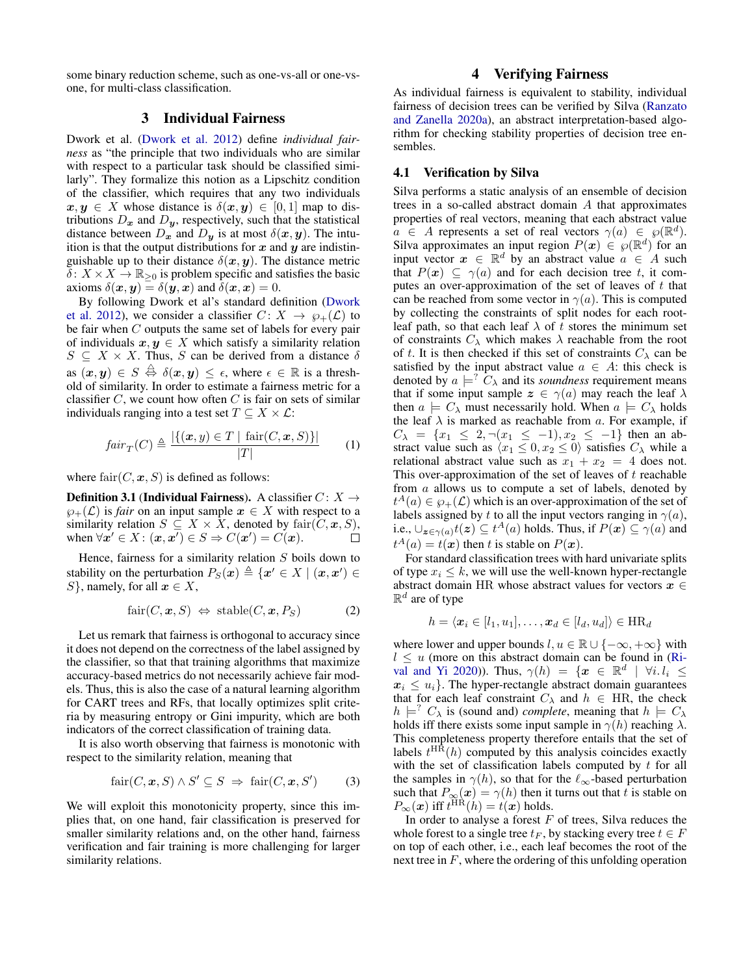some binary reduction scheme, such as one-vs-all or one-vsone, for multi-class classification.

## 3 Individual Fairness

Dwork et al. [\(Dwork et al.](#page-7-8) [2012\)](#page-7-8) define *individual fairness* as "the principle that two individuals who are similar with respect to a particular task should be classified similarly". They formalize this notion as a Lipschitz condition of the classifier, which requires that any two individuals  $x, y \in X$  whose distance is  $\delta(x, y) \in [0, 1]$  map to distributions  $D_x$  and  $D_y$ , respectively, such that the statistical distance between  $D_x$  and  $D_y$  is at most  $\delta(x, y)$ . The intuition is that the output distributions for  $x$  and  $y$  are indistinguishable up to their distance  $\delta(x, y)$ . The distance metric  $\delta: X \times X \to \mathbb{R}_{\geq 0}$  is problem specific and satisfies the basic axioms  $\delta(x, y) = \delta(y, x)$  and  $\delta(x, x) = 0$ .

By following Dwork et al's standard definition [\(Dwork](#page-7-8) [et al.](#page-7-8) [2012\)](#page-7-8), we consider a classifier  $C: X \rightarrow \wp_+(\mathcal{L})$  to be fair when C outputs the same set of labels for every pair of individuals  $x, y \in X$  which satisfy a similarity relation  $S \subseteq X \times X$ . Thus, S can be derived from a distance  $\delta$ as  $(x, y) \in S \stackrel{\triangle}{\leftrightarrow} \delta(x, y) \le \epsilon$ , where  $\epsilon \in \mathbb{R}$  is a threshold of similarity. In order to estimate a fairness metric for a classifier  $C$ , we count how often  $C$  is fair on sets of similar individuals ranging into a test set  $T \subseteq X \times \mathcal{L}$ :

$$
fair_T(C) \triangleq \frac{|\{(\boldsymbol{x}, y) \in T \mid \operatorname{fair}(C, \boldsymbol{x}, S)\}|}{|T|}
$$
 (1)

where  $\text{fair}(C, x, S)$  is defined as follows:

**Definition 3.1 (Individual Fairness).** A classifier  $C: X \rightarrow$  $\varphi_+(\mathcal{L})$  is *fair* on an input sample  $x \in X$  with respect to a similarity relation  $S \subseteq X \times X$ , denoted by fair $(C, x, S)$ , when  $\forall x' \in X : (\boldsymbol{x}, \boldsymbol{x}') \in S \Rightarrow C(\boldsymbol{x}') = C(\boldsymbol{x})$ .  $\Box$ 

Hence, fairness for a similarity relation  $S$  boils down to stability on the perturbation  $P_S(\boldsymbol{x}) \triangleq \{ \boldsymbol{x}' \in X \mid (\boldsymbol{x}, \boldsymbol{x}') \in$ S}, namely, for all  $x \in X$ ,

<span id="page-2-0"></span>
$$
fair(C, x, S) \Leftrightarrow stable(C, x, P_S)
$$
 (2)

Let us remark that fairness is orthogonal to accuracy since it does not depend on the correctness of the label assigned by the classifier, so that that training algorithms that maximize accuracy-based metrics do not necessarily achieve fair models. Thus, this is also the case of a natural learning algorithm for CART trees and RFs, that locally optimizes split criteria by measuring entropy or Gini impurity, which are both indicators of the correct classification of training data.

It is also worth observing that fairness is monotonic with respect to the similarity relation, meaning that

<span id="page-2-1"></span>
$$
fair(C, x, S) \land S' \subseteq S \implies fair(C, x, S') \tag{3}
$$

We will exploit this monotonicity property, since this implies that, on one hand, fair classification is preserved for smaller similarity relations and, on the other hand, fairness verification and fair training is more challenging for larger similarity relations.

## 4 Verifying Fairness

As individual fairness is equivalent to stability, individual fairness of decision trees can be verified by Silva [\(Ranzato](#page-7-14) [and Zanella](#page-7-14) [2020a\)](#page-7-14), an abstract interpretation-based algorithm for checking stability properties of decision tree ensembles.

### 4.1 Verification by Silva

Silva performs a static analysis of an ensemble of decision trees in a so-called abstract domain A that approximates properties of real vectors, meaning that each abstract value  $a \in A$  represents a set of real vectors  $\gamma(a) \in \wp(\mathbb{R}^d)$ . Silva approximates an input region  $P(x) \in \wp(\mathbb{R}^d)$  for an input vector  $x \in \mathbb{R}^d$  by an abstract value  $a \in A$  such that  $P(x) \subseteq \gamma(a)$  and for each decision tree t, it computes an over-approximation of the set of leaves of  $t$  that can be reached from some vector in  $\gamma(a)$ . This is computed by collecting the constraints of split nodes for each rootleaf path, so that each leaf  $\lambda$  of t stores the minimum set of constraints  $C_{\lambda}$  which makes  $\lambda$  reachable from the root of t. It is then checked if this set of constraints  $C_{\lambda}$  can be satisfied by the input abstract value  $a \in A$ : this check is denoted by  $a \models^? C_\lambda$  and its *soundness* requirement means that if some input sample  $z \in \gamma(a)$  may reach the leaf  $\lambda$ then  $a \models C_\lambda$  must necessarily hold. When  $a \models C_\lambda$  holds the leaf  $\lambda$  is marked as reachable from a. For example, if  $C_{\lambda} = \{x_1 \leq 2, \neg(x_1 \leq -1), x_2 \leq -1\}$  then an abstract value such as  $\langle x_1 \leq 0, x_2 \leq 0 \rangle$  satisfies  $C_\lambda$  while a relational abstract value such as  $x_1 + x_2 = 4$  does not. This over-approximation of the set of leaves of  $t$  reachable from a allows us to compute a set of labels, denoted by  $t^A(a) \in \wp_+(\mathcal{L})$  which is an over-approximation of the set of labels assigned by t to all the input vectors ranging in  $\gamma(a)$ , i.e.,  $\bigcup_{\mathbf{z}\in\gamma(a)}t(\mathbf{z})\subseteq t^A(a)$  holds. Thus, if  $P(\mathbf{x})\subseteq\gamma(a)$  and  $t^A(a) = t(x)$  then t is stable on  $P(x)$ .

For standard classification trees with hard univariate splits of type  $x_i \leq k$ , we will use the well-known hyper-rectangle abstract domain HR whose abstract values for vectors  $x \in$  $\mathbb{R}^d$  are of type

$$
h = \langle \boldsymbol{x}_i \in [l_1, u_1], \dots, \boldsymbol{x}_d \in [l_d, u_d] \rangle \in \text{HR}_d
$$

where lower and upper bounds  $l, u \in \mathbb{R} \cup \{-\infty, +\infty\}$  with  $l \leq u$  (more on this abstract domain can be found in [\(Ri](#page-7-12)[val and Yi](#page-7-12) [2020\)](#page-7-12)). Thus,  $\gamma(h) = \{x \in \mathbb{R}^d \mid \forall i. l_i \leq$  $x_i \leq u_i$ . The hyper-rectangle abstract domain guarantees that for each leaf constraint  $C_{\lambda}$  and  $h \in HR$ , the check  $h \models^{?} C_{\lambda}$  is (sound and) *complete*, meaning that  $h \models C_{\lambda}$ holds iff there exists some input sample in  $\gamma(h)$  reaching  $\lambda$ . This completeness property therefore entails that the set of labels  $t^{\text{HR}}(h)$  computed by this analysis coincides exactly with the set of classification labels computed by  $t$  for all the samples in  $\gamma(h)$ , so that for the  $\ell_{\infty}$ -based perturbation such that  $P_{\infty}(x) = \gamma(h)$  then it turns out that t is stable on  $P_{\infty}(\boldsymbol{x})$  iff  $t^{\text{HR}}(h) = t(\boldsymbol{x})$  holds.

In order to analyse a forest  $F$  of trees, Silva reduces the whole forest to a single tree  $t_F$ , by stacking every tree  $t \in F$ on top of each other, i.e., each leaf becomes the root of the next tree in  $F$ , where the ordering of this unfolding operation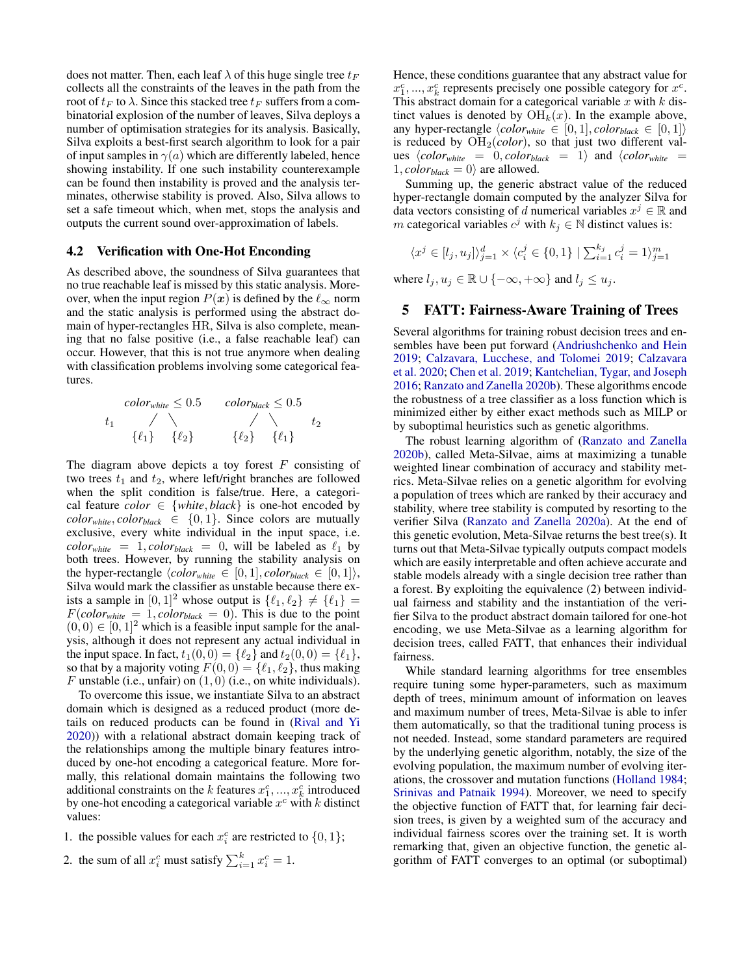does not matter. Then, each leaf  $\lambda$  of this huge single tree  $t_F$ collects all the constraints of the leaves in the path from the root of  $t_F$  to  $\lambda$ . Since this stacked tree  $t_F$  suffers from a combinatorial explosion of the number of leaves, Silva deploys a number of optimisation strategies for its analysis. Basically, Silva exploits a best-first search algorithm to look for a pair of input samples in  $\gamma(a)$  which are differently labeled, hence showing instability. If one such instability counterexample can be found then instability is proved and the analysis terminates, otherwise stability is proved. Also, Silva allows to set a safe timeout which, when met, stops the analysis and outputs the current sound over-approximation of labels.

#### 4.2 Verification with One-Hot Enconding

As described above, the soundness of Silva guarantees that no true reachable leaf is missed by this static analysis. Moreover, when the input region  $P(x)$  is defined by the  $\ell_{\infty}$  norm and the static analysis is performed using the abstract domain of hyper-rectangles HR, Silva is also complete, meaning that no false positive (i.e., a false reachable leaf) can occur. However, that this is not true anymore when dealing with classification problems involving some categorical features.



The diagram above depicts a toy forest  $F$  consisting of two trees  $t_1$  and  $t_2$ , where left/right branches are followed when the split condition is false/true. Here, a categorical feature *color*  $\in$  {*white*, *black*} is one-hot encoded by  $color_{white}$ ,  $color_{black} \in \{0,1\}$ . Since colors are mutually exclusive, every white individual in the input space, i.e.  $color_{white}$  = 1, *color*<sub>black</sub> = 0, will be labeled as  $\ell_1$  by both trees. However, by running the stability analysis on the hyper-rectangle  $\langle color_{white} \in [0,1], color_{black} \in [0,1] \rangle$ , Silva would mark the classifier as unstable because there exists a sample in  $[0, 1]^2$  whose output is  $\{\ell_1, \ell_2\} \neq \{\ell_1\}$  $F(color_{white} = 1, color_{black} = 0)$ . This is due to the point  $(0, 0) \in [0, 1]^2$  which is a feasible input sample for the analysis, although it does not represent any actual individual in the input space. In fact,  $t_1(0, 0) = \{\ell_2\}$  and  $t_2(0, 0) = \{\ell_1\},\$ so that by a majority voting  $F(0, 0) = \{\ell_1, \ell_2\}$ , thus making F unstable (i.e., unfair) on  $(1, 0)$  (i.e., on white individuals).

To overcome this issue, we instantiate Silva to an abstract domain which is designed as a reduced product (more details on reduced products can be found in [\(Rival and Yi](#page-7-12) [2020\)](#page-7-12)) with a relational abstract domain keeping track of the relationships among the multiple binary features introduced by one-hot encoding a categorical feature. More formally, this relational domain maintains the following two additional constraints on the k features  $x_1^c, ..., x_k^c$  introduced by one-hot encoding a categorical variable  $x^c$  with k distinct values:

1. the possible values for each  $x_i^c$  are restricted to  $\{0, 1\}$ ;

2. the sum of all 
$$
x_i^c
$$
 must satisfy  $\sum_{i=1}^k x_i^c = 1$ .

Hence, these conditions guarantee that any abstract value for  $x_1^c, ..., x_k^c$  represents precisely one possible category for  $x^c$ . This abstract domain for a categorical variable  $x$  with  $k$  distinct values is denoted by  $\mathrm{OH}_k(x)$ . In the example above, any hyper-rectangle  $\langle color_{white} \in [0, 1], color_{black} \in [0, 1] \rangle$ is reduced by OH2(*color*), so that just two different values  $\langle color_{white} = 0, color_{black} = 1 \rangle$  and  $\langle color_{white} = 1 \rangle$  $1, color_{black} = 0$  are allowed.

Summing up, the generic abstract value of the reduced hyper-rectangle domain computed by the analyzer Silva for data vectors consisting of d numerical variables  $x^j \in \mathbb{R}$  and m categorical variables  $c^j$  with  $k_j \in \mathbb{N}$  distinct values is:

$$
\langle x^j\in [l_j,u_j]\rangle_{j=1}^d\times \langle c_i^j\in \{0,1\}\mid \textstyle\sum_{i=1}^{k_j}c_i^j=1\rangle_{j=1}^m
$$

where  $l_i, u_j \in \mathbb{R} \cup \{-\infty, +\infty\}$  and  $l_j \leq u_j$ .

### 5 FATT: Fairness-Aware Training of Trees

Several algorithms for training robust decision trees and ensembles have been put forward [\(Andriushchenko and Hein](#page-6-7) [2019;](#page-6-7) [Calzavara, Lucchese, and Tolomei](#page-6-8) [2019;](#page-6-8) [Calzavara](#page-6-9) [et al.](#page-6-9) [2020;](#page-6-9) [Chen et al.](#page-6-10) [2019;](#page-6-10) [Kantchelian, Tygar, and Joseph](#page-7-17) [2016;](#page-7-17) [Ranzato and Zanella](#page-7-13) [2020b\)](#page-7-13). These algorithms encode the robustness of a tree classifier as a loss function which is minimized either by either exact methods such as MILP or by suboptimal heuristics such as genetic algorithms.

The robust learning algorithm of [\(Ranzato and Zanella](#page-7-13) [2020b\)](#page-7-13), called Meta-Silvae, aims at maximizing a tunable weighted linear combination of accuracy and stability metrics. Meta-Silvae relies on a genetic algorithm for evolving a population of trees which are ranked by their accuracy and stability, where tree stability is computed by resorting to the verifier Silva [\(Ranzato and Zanella](#page-7-14) [2020a\)](#page-7-14). At the end of this genetic evolution, Meta-Silvae returns the best tree(s). It turns out that Meta-Silvae typically outputs compact models which are easily interpretable and often achieve accurate and stable models already with a single decision tree rather than a forest. By exploiting the equivalence [\(2\)](#page-2-0) between individual fairness and stability and the instantiation of the verifier Silva to the product abstract domain tailored for one-hot encoding, we use Meta-Silvae as a learning algorithm for decision trees, called FATT, that enhances their individual fairness.

While standard learning algorithms for tree ensembles require tuning some hyper-parameters, such as maximum depth of trees, minimum amount of information on leaves and maximum number of trees, Meta-Silvae is able to infer them automatically, so that the traditional tuning process is not needed. Instead, some standard parameters are required by the underlying genetic algorithm, notably, the size of the evolving population, the maximum number of evolving iterations, the crossover and mutation functions [\(Holland](#page-7-18) [1984;](#page-7-18) [Srinivas and Patnaik](#page-7-19) [1994\)](#page-7-19). Moreover, we need to specify the objective function of FATT that, for learning fair decision trees, is given by a weighted sum of the accuracy and individual fairness scores over the training set. It is worth remarking that, given an objective function, the genetic algorithm of FATT converges to an optimal (or suboptimal)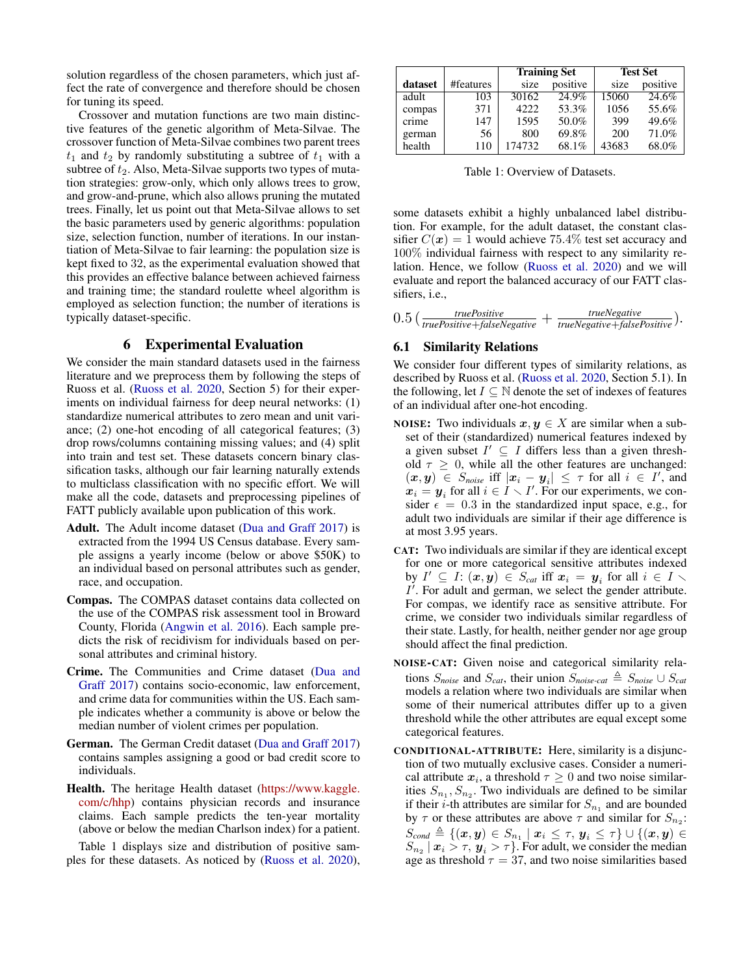solution regardless of the chosen parameters, which just affect the rate of convergence and therefore should be chosen for tuning its speed.

Crossover and mutation functions are two main distinctive features of the genetic algorithm of Meta-Silvae. The crossover function of Meta-Silvae combines two parent trees  $t_1$  and  $t_2$  by randomly substituting a subtree of  $t_1$  with a subtree of  $t_2$ . Also, Meta-Silvae supports two types of mutation strategies: grow-only, which only allows trees to grow, and grow-and-prune, which also allows pruning the mutated trees. Finally, let us point out that Meta-Silvae allows to set the basic parameters used by generic algorithms: population size, selection function, number of iterations. In our instantiation of Meta-Silvae to fair learning: the population size is kept fixed to 32, as the experimental evaluation showed that this provides an effective balance between achieved fairness and training time; the standard roulette wheel algorithm is employed as selection function; the number of iterations is typically dataset-specific.

## 6 Experimental Evaluation

We consider the main standard datasets used in the fairness literature and we preprocess them by following the steps of Ruoss et al. [\(Ruoss et al.](#page-7-4) [2020,](#page-7-4) Section 5) for their experiments on individual fairness for deep neural networks: (1) standardize numerical attributes to zero mean and unit variance; (2) one-hot encoding of all categorical features; (3) drop rows/columns containing missing values; and (4) split into train and test set. These datasets concern binary classification tasks, although our fair learning naturally extends to multiclass classification with no specific effort. We will make all the code, datasets and preprocessing pipelines of FATT publicly available upon publication of this work.

- Adult. The Adult income dataset [\(Dua and Graff](#page-7-20) [2017\)](#page-7-20) is extracted from the 1994 US Census database. Every sample assigns a yearly income (below or above \$50K) to an individual based on personal attributes such as gender, race, and occupation.
- Compas. The COMPAS dataset contains data collected on the use of the COMPAS risk assessment tool in Broward County, Florida [\(Angwin et al.](#page-6-11) [2016\)](#page-6-11). Each sample predicts the risk of recidivism for individuals based on personal attributes and criminal history.
- Crime. The Communities and Crime dataset [\(Dua and](#page-7-20) [Graff](#page-7-20) [2017\)](#page-7-20) contains socio-economic, law enforcement, and crime data for communities within the US. Each sample indicates whether a community is above or below the median number of violent crimes per population.
- German. The German Credit dataset [\(Dua and Graff](#page-7-20) [2017\)](#page-7-20) contains samples assigning a good or bad credit score to individuals.
- Health. The heritage Health dataset [\(https://www.kaggle.](https://www.kaggle.com/c/hhp) [com/c/hhp\)](https://www.kaggle.com/c/hhp) contains physician records and insurance claims. Each sample predicts the ten-year mortality (above or below the median Charlson index) for a patient.

Table [1](#page-4-0) displays size and distribution of positive samples for these datasets. As noticed by [\(Ruoss et al.](#page-7-4) [2020\)](#page-7-4),

<span id="page-4-0"></span>

|         |           |        | <b>Training Set</b> | <b>Test Set</b> |          |  |
|---------|-----------|--------|---------------------|-----------------|----------|--|
| dataset | #features | size   | positive            | size            | positive |  |
| adult   | 103       | 30162  | 24.9%               | 15060           | 24.6%    |  |
| compas  | 371       | 4222   | 53.3%               | 1056            | 55.6%    |  |
| crime   | 147       | 1595   | 50.0%               | 399             | 49.6%    |  |
| german  | 56        | 800    | 69.8%               | 200             | 71.0%    |  |
| health  | 110       | 174732 | 68.1%               | 43683           | 68.0%    |  |

Table 1: Overview of Datasets.

some datasets exhibit a highly unbalanced label distribution. For example, for the adult dataset, the constant classifier  $C(\mathbf{x}) = 1$  would achieve 75.4% test set accuracy and 100% individual fairness with respect to any similarity relation. Hence, we follow [\(Ruoss et al.](#page-7-4) [2020\)](#page-7-4) and we will evaluate and report the balanced accuracy of our FATT classifiers, i.e.,

| 0.5 <sub>1</sub> | <i>truePositive</i>                                    | <i>trueNegative</i>                     |  |
|------------------|--------------------------------------------------------|-----------------------------------------|--|
|                  | $\sqrt{\frac{truePositive + falseNegative}{truePost}}$ | trueNegative+falsePositive <sup>1</sup> |  |

#### <span id="page-4-1"></span>6.1 Similarity Relations

We consider four different types of similarity relations, as described by Ruoss et al. [\(Ruoss et al.](#page-7-4) [2020,](#page-7-4) Section 5.1). In the following, let  $I \subseteq \mathbb{N}$  denote the set of indexes of features of an individual after one-hot encoding.

- NOISE: Two individuals  $x, y \in X$  are similar when a subset of their (standardized) numerical features indexed by a given subset  $I' \subseteq I$  differs less than a given threshold  $\tau \geq 0$ , while all the other features are unchanged:  $(x, y) \in S_{noise}$  iff  $|x_i - y_i| \leq \tau$  for all  $i \in I'$ , and  $x_i = y_i$  for all  $i \in I \setminus I'$ . For our experiments, we consider  $\epsilon = 0.3$  in the standardized input space, e.g., for adult two individuals are similar if their age difference is at most 3.95 years.
- CAT: Two individuals are similar if they are identical except for one or more categorical sensitive attributes indexed by  $I' \subseteq I: (\boldsymbol{x},\boldsymbol{y}) \in S_{cat}$  iff  $\boldsymbol{x}_i = \boldsymbol{y}_i$  for all  $i \in I \setminus I$  $I'$ . For adult and german, we select the gender attribute. For compas, we identify race as sensitive attribute. For crime, we consider two individuals similar regardless of their state. Lastly, for health, neither gender nor age group should affect the final prediction.
- NOISE-CAT: Given noise and categorical similarity relations  $S_{noise}$  and  $S_{cat}$ , their union  $S_{noise}$ <sub>cat</sub>  $\triangleq S_{noise} \cup S_{cat}$ models a relation where two individuals are similar when some of their numerical attributes differ up to a given threshold while the other attributes are equal except some categorical features.
- CONDITIONAL-ATTRIBUTE: Here, similarity is a disjunction of two mutually exclusive cases. Consider a numerical attribute  $x_i$ , a threshold  $\tau \geq 0$  and two noise similarities  $S_{n_1}, S_{n_2}$ . Two individuals are defined to be similar if their *i*-th attributes are similar for  $S_{n_1}$  and are bounded by  $\tau$  or these attributes are above  $\tau$  and similar for  $S_{n_2}$ :  $S_{cond} \triangleq \{(\boldsymbol{x},\boldsymbol{y}) \in S_{n_1} \mid \boldsymbol{x}_i \leq \tau, \, \boldsymbol{y}_i \leq \tau\} \cup \{(\boldsymbol{x},\boldsymbol{y}) \in$  $S_{n_2}$   $\mid$   $\boldsymbol{x}_i > \tau,$   $\boldsymbol{y}_i > \tau$ }. For adult, we consider the median age as threshold  $\tau = 37$ , and two noise similarities based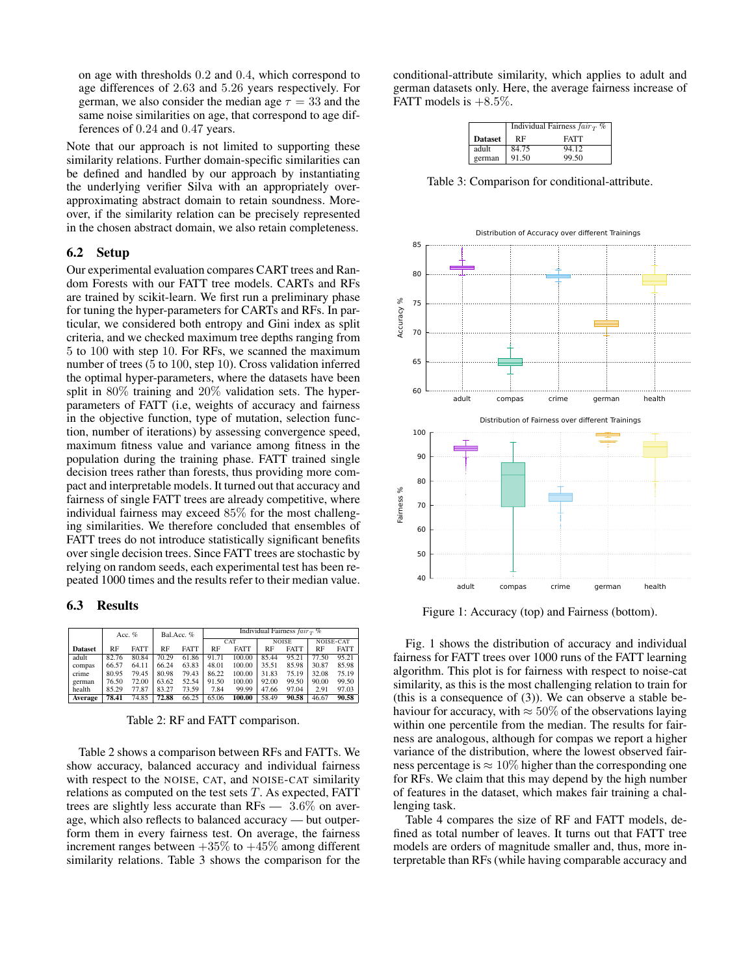on age with thresholds 0.2 and 0.4, which correspond to age differences of 2.63 and 5.26 years respectively. For german, we also consider the median age  $\tau = 33$  and the same noise similarities on age, that correspond to age differences of 0.24 and 0.47 years.

Note that our approach is not limited to supporting these similarity relations. Further domain-specific similarities can be defined and handled by our approach by instantiating the underlying verifier Silva with an appropriately overapproximating abstract domain to retain soundness. Moreover, if the similarity relation can be precisely represented in the chosen abstract domain, we also retain completeness.

#### 6.2 Setup

Our experimental evaluation compares CART trees and Random Forests with our FATT tree models. CARTs and RFs are trained by scikit-learn. We first run a preliminary phase for tuning the hyper-parameters for CARTs and RFs. In particular, we considered both entropy and Gini index as split criteria, and we checked maximum tree depths ranging from 5 to 100 with step 10. For RFs, we scanned the maximum number of trees (5 to 100, step 10). Cross validation inferred the optimal hyper-parameters, where the datasets have been split in 80% training and 20% validation sets. The hyperparameters of FATT (i.e, weights of accuracy and fairness in the objective function, type of mutation, selection function, number of iterations) by assessing convergence speed, maximum fitness value and variance among fitness in the population during the training phase. FATT trained single decision trees rather than forests, thus providing more compact and interpretable models. It turned out that accuracy and fairness of single FATT trees are already competitive, where individual fairness may exceed 85% for the most challenging similarities. We therefore concluded that ensembles of FATT trees do not introduce statistically significant benefits over single decision trees. Since FATT trees are stochastic by relying on random seeds, each experimental test has been repeated 1000 times and the results refer to their median value.

### 6.3 Results

<span id="page-5-0"></span>

|                |       | Acc. $%$    | Bal.Acc. % |             | Individual Fairness $fairT$ % |             |              |             |                  |             |  |
|----------------|-------|-------------|------------|-------------|-------------------------------|-------------|--------------|-------------|------------------|-------------|--|
|                |       |             |            |             | CAT                           |             | <b>NOISE</b> |             | <b>NOISE-CAT</b> |             |  |
| <b>Dataset</b> | RF    | <b>FATT</b> | <b>RF</b>  | <b>FATT</b> | <b>RF</b>                     | <b>FATT</b> | RF           | <b>FATT</b> | <b>RF</b>        | <b>FATT</b> |  |
| adult          | 82.76 | 80.84       | 70.29      | 61.86       | 91.71                         | 100.00      | 85.44        | 95.21       | 77.50            | 95.21       |  |
| compas         | 66.57 | 64.11       | 66.24      | 63.83       | 48.01                         | 100.00      | 35.51        | 85.98       | 30.87            | 85.98       |  |
| crime          | 80.95 | 79.45       | 80.98      | 79.43       | 86.22                         | 100.00      | 31.83        | 75.19       | 32.08            | 75.19       |  |
| german         | 76.50 | 72.00       | 63.62      | 52.54       | 91.50                         | 100.00      | 92.00        | 99.50       | 90.00            | 99.50       |  |
| health         | 85.29 | 77.87       | 83.27      | 73.59       | 7.84                          | 99.99       | 47.66        | 97.04       | 2.91             | 97.03       |  |
| Average        | 78.41 | 74.85       | 72.88      | 66.25       | 65.06                         | 100.00      | 58.49        | 90.58       | 46.67            | 90.58       |  |

Table 2: RF and FATT comparison.

Table [2](#page-5-0) shows a comparison between RFs and FATTs. We show accuracy, balanced accuracy and individual fairness with respect to the NOISE, CAT, and NOISE-CAT similarity relations as computed on the test sets  $T$ . As expected, FATT trees are slightly less accurate than RFs — 3.6% on average, which also reflects to balanced accuracy — but outperform them in every fairness test. On average, the fairness increment ranges between  $+35\%$  to  $+45\%$  among different similarity relations. Table [3](#page-5-1) shows the comparison for the

<span id="page-5-1"></span>conditional-attribute similarity, which applies to adult and german datasets only. Here, the average fairness increase of FATT models is  $+8.5\%$ .

|                | Individual Fairness $fair_T$ % |             |  |  |  |  |
|----------------|--------------------------------|-------------|--|--|--|--|
| <b>Dataset</b> | RF                             | <b>FATT</b> |  |  |  |  |
| adult          | 84.75                          | 94.12       |  |  |  |  |
| german         | 91.50                          | 99.50       |  |  |  |  |

Table 3: Comparison for conditional-attribute.

<span id="page-5-2"></span>

Figure 1: Accuracy (top) and Fairness (bottom).

Fig. [1](#page-5-2) shows the distribution of accuracy and individual fairness for FATT trees over 1000 runs of the FATT learning algorithm. This plot is for fairness with respect to noise-cat similarity, as this is the most challenging relation to train for (this is a consequence of [\(3\)](#page-2-1)). We can observe a stable behaviour for accuracy, with  $\approx 50\%$  of the observations laying within one percentile from the median. The results for fairness are analogous, although for compas we report a higher variance of the distribution, where the lowest observed fairness percentage is  $\approx 10\%$  higher than the corresponding one for RFs. We claim that this may depend by the high number of features in the dataset, which makes fair training a challenging task.

Table [4](#page-6-12) compares the size of RF and FATT models, defined as total number of leaves. It turns out that FATT tree models are orders of magnitude smaller and, thus, more interpretable than RFs (while having comparable accuracy and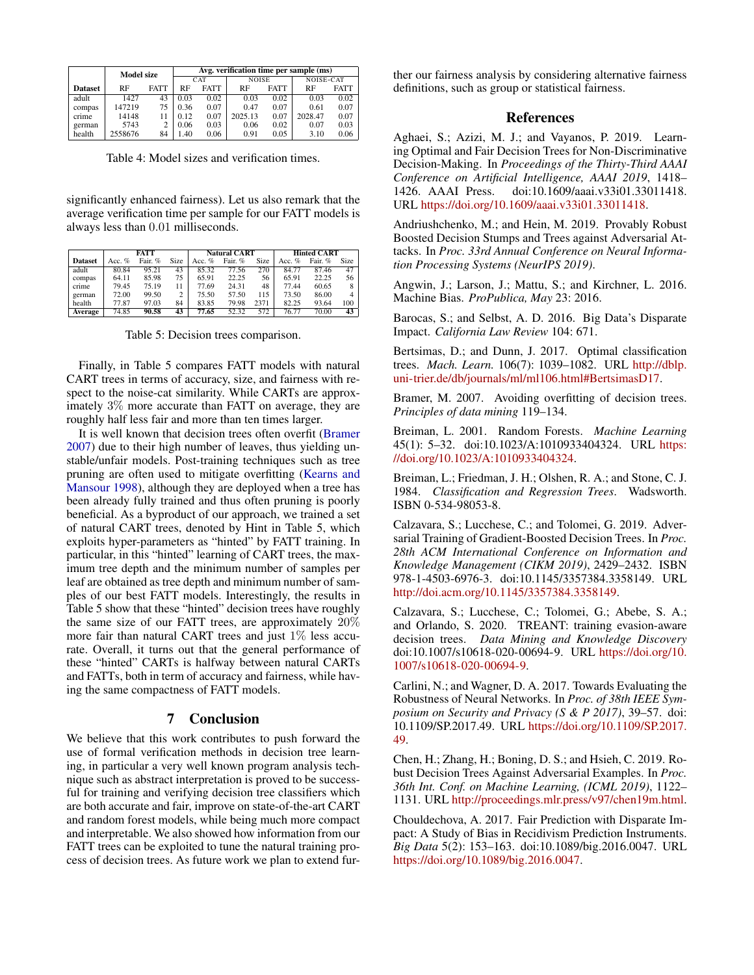<span id="page-6-12"></span>

|                | <b>Model size</b> |             | Avg. verification time per sample (ms) |      |              |             |           |             |  |  |
|----------------|-------------------|-------------|----------------------------------------|------|--------------|-------------|-----------|-------------|--|--|
|                |                   |             | CAT                                    |      | <b>NOISE</b> |             | NOISE-CAT |             |  |  |
| <b>Dataset</b> | RF                | <b>FATT</b> | <b>RF</b><br><b>FATT</b>               |      | RF           | <b>FATT</b> | RF        | <b>FATT</b> |  |  |
| adult          | 1427              | 43          | 0.03                                   | 0.02 | 0.03         | 0.02        | 0.03      | 0.02        |  |  |
| compas         | 147219            | 75          | 0.36                                   | 0.07 | 0.47         | 0.07        | 0.61      | 0.07        |  |  |
| crime          | 14148             |             | 0.12                                   | 0.07 | 2025.13      | 0.07        | 2028.47   | 0.07        |  |  |
| german         | 5743              |             | 0.06                                   | 0.03 | 0.06         | 0.02        | 0.07      | 0.03        |  |  |
| health         | 2558676           | 84          | 1.40                                   | 0.06 | 0.91         | 0.05        | 3.10      | 0.06        |  |  |

Table 4: Model sizes and verification times.

significantly enhanced fairness). Let us also remark that the average verification time per sample for our FATT models is always less than 0.01 milliseconds.

<span id="page-6-13"></span>

|                |          | <b>FATT</b> |                |          | <b>Natural CART</b> |      | <b>Hinted CART</b> |         |                |
|----------------|----------|-------------|----------------|----------|---------------------|------|--------------------|---------|----------------|
| <b>Dataset</b> | Acc. $%$ | Fair. %     | <b>Size</b>    | Acc. $%$ | Fair. %             | Size | Acc. $%$           | Fair. % | Size           |
| adult          | 80.84    | 95.21       | 43             | 85.32    | 77.56               | 270  | 84.77              | 87.46   | 47             |
| compas         | 64.11    | 85.98       | 75             | 65.91    | 22.25               | 56   | 65.91              | 22.25   | 56 l           |
| crime          | 79.45    | 75.19       | 11             | 77.69    | 24.31               | 48   | 77.44              | 60.65   | 8              |
| german         | 72.00    | 99.50       | $\overline{c}$ | 75.50    | 57.50               | 115  | 73.50              | 86.00   | 4 <sup>1</sup> |
| health         | 77.87    | 97.03       | 84             | 83.85    | 79.98               | 2371 | 82.25              | 93.64   | 100            |
| Average        | 74.85    | 90.58       | 43             | 77.65    | 52.32               | 572  | 76.77              | 70.00   | 43             |

Table 5: Decision trees comparison.

Finally, in Table [5](#page-6-13) compares FATT models with natural CART trees in terms of accuracy, size, and fairness with respect to the noise-cat similarity. While CARTs are approximately 3% more accurate than FATT on average, they are roughly half less fair and more than ten times larger.

It is well known that decision trees often overfit [\(Bramer](#page-6-14) [2007\)](#page-6-14) due to their high number of leaves, thus yielding unstable/unfair models. Post-training techniques such as tree pruning are often used to mitigate overfitting [\(Kearns and](#page-7-21) [Mansour](#page-7-21) [1998\)](#page-7-21), although they are deployed when a tree has been already fully trained and thus often pruning is poorly beneficial. As a byproduct of our approach, we trained a set of natural CART trees, denoted by Hint in Table [5,](#page-6-13) which exploits hyper-parameters as "hinted" by FATT training. In particular, in this "hinted" learning of CART trees, the maximum tree depth and the minimum number of samples per leaf are obtained as tree depth and minimum number of samples of our best FATT models. Interestingly, the results in Table [5](#page-6-13) show that these "hinted" decision trees have roughly the same size of our FATT trees, are approximately  $20\%$ more fair than natural CART trees and just 1% less accurate. Overall, it turns out that the general performance of these "hinted" CARTs is halfway between natural CARTs and FATTs, both in term of accuracy and fairness, while having the same compactness of FATT models.

## 7 Conclusion

We believe that this work contributes to push forward the use of formal verification methods in decision tree learning, in particular a very well known program analysis technique such as abstract interpretation is proved to be successful for training and verifying decision tree classifiers which are both accurate and fair, improve on state-of-the-art CART and random forest models, while being much more compact and interpretable. We also showed how information from our FATT trees can be exploited to tune the natural training process of decision trees. As future work we plan to extend fur-

ther our fairness analysis by considering alternative fairness definitions, such as group or statistical fairness.

## References

<span id="page-6-2"></span>Aghaei, S.; Azizi, M. J.; and Vayanos, P. 2019. Learning Optimal and Fair Decision Trees for Non-Discriminative Decision-Making. In *Proceedings of the Thirty-Third AAAI Conference on Artificial Intelligence, AAAI 2019*, 1418– 1426. AAAI Press. doi:10.1609/aaai.v33i01.33011418. URL [https://doi.org/10.1609/aaai.v33i01.33011418.](https://doi.org/10.1609/aaai.v33i01.33011418)

<span id="page-6-7"></span>Andriushchenko, M.; and Hein, M. 2019. Provably Robust Boosted Decision Stumps and Trees against Adversarial Attacks. In *Proc. 33rd Annual Conference on Neural Information Processing Systems (NeurIPS 2019)*.

<span id="page-6-11"></span>Angwin, J.; Larson, J.; Mattu, S.; and Kirchner, L. 2016. Machine Bias. *ProPublica, May* 23: 2016.

<span id="page-6-1"></span>Barocas, S.; and Selbst, A. D. 2016. Big Data's Disparate Impact. *California Law Review* 104: 671.

<span id="page-6-4"></span>Bertsimas, D.; and Dunn, J. 2017. Optimal classification trees. *Mach. Learn.* 106(7): 1039–1082. URL [http://dblp.](http://dblp.uni-trier.de/db/journals/ml/ml106.html#BertsimasD17) [uni-trier.de/db/journals/ml/ml106.html#BertsimasD17.](http://dblp.uni-trier.de/db/journals/ml/ml106.html#BertsimasD17)

<span id="page-6-14"></span>Bramer, M. 2007. Avoiding overfitting of decision trees. *Principles of data mining* 119–134.

<span id="page-6-3"></span>Breiman, L. 2001. Random Forests. *Machine Learning* 45(1): 5–32. doi:10.1023/A:1010933404324. URL [https:](https://doi.org/10.1023/A:1010933404324) [//doi.org/10.1023/A:1010933404324.](https://doi.org/10.1023/A:1010933404324)

<span id="page-6-6"></span>Breiman, L.; Friedman, J. H.; Olshen, R. A.; and Stone, C. J. 1984. *Classification and Regression Trees*. Wadsworth. ISBN 0-534-98053-8.

<span id="page-6-8"></span>Calzavara, S.; Lucchese, C.; and Tolomei, G. 2019. Adversarial Training of Gradient-Boosted Decision Trees. In *Proc. 28th ACM International Conference on Information and Knowledge Management (CIKM 2019)*, 2429–2432. ISBN 978-1-4503-6976-3. doi:10.1145/3357384.3358149. URL [http://doi.acm.org/10.1145/3357384.3358149.](http://doi.acm.org/10.1145/3357384.3358149)

<span id="page-6-9"></span>Calzavara, S.; Lucchese, C.; Tolomei, G.; Abebe, S. A.; and Orlando, S. 2020. TREANT: training evasion-aware decision trees. *Data Mining and Knowledge Discovery* doi:10.1007/s10618-020-00694-9. URL [https://doi.org/10.](https://doi.org/10.1007/s10618-020-00694-9) [1007/s10618-020-00694-9.](https://doi.org/10.1007/s10618-020-00694-9)

<span id="page-6-5"></span>Carlini, N.; and Wagner, D. A. 2017. Towards Evaluating the Robustness of Neural Networks. In *Proc. of 38th IEEE Symposium on Security and Privacy (S & P 2017)*, 39–57. doi: 10.1109/SP.2017.49. URL [https://doi.org/10.1109/SP.2017.](https://doi.org/10.1109/SP.2017.49) [49.](https://doi.org/10.1109/SP.2017.49)

<span id="page-6-10"></span>Chen, H.; Zhang, H.; Boning, D. S.; and Hsieh, C. 2019. Robust Decision Trees Against Adversarial Examples. In *Proc. 36th Int. Conf. on Machine Learning, (ICML 2019)*, 1122– 1131. URL [http://proceedings.mlr.press/v97/chen19m.html.](http://proceedings.mlr.press/v97/chen19m.html)

<span id="page-6-0"></span>Chouldechova, A. 2017. Fair Prediction with Disparate Impact: A Study of Bias in Recidivism Prediction Instruments. *Big Data* 5(2): 153–163. doi:10.1089/big.2016.0047. URL [https://doi.org/10.1089/big.2016.0047.](https://doi.org/10.1089/big.2016.0047)